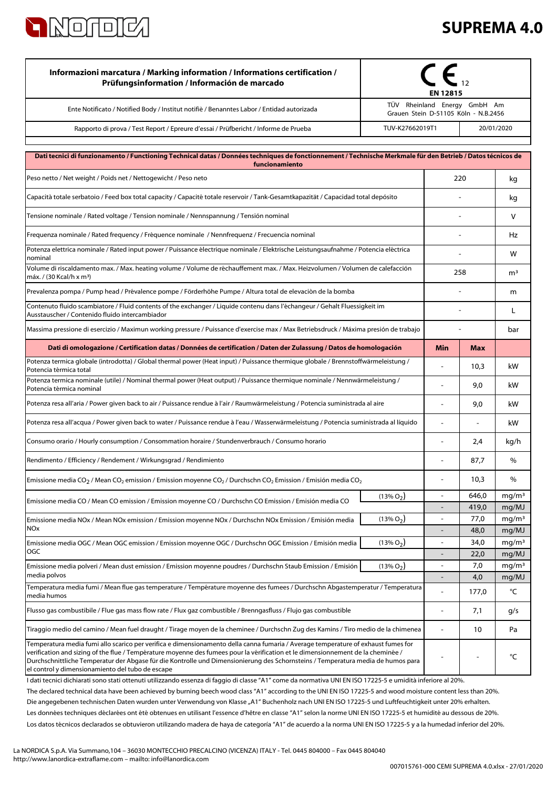

## **SUPREMA 4.0**

| Informazioni marcatura / Marking information / Informations certification /<br>Prüfungsinformation / Información de marcado                                                                                                                                                                                                                                                                                                                                   | EN 12815                                                             |                          |               |                            |
|---------------------------------------------------------------------------------------------------------------------------------------------------------------------------------------------------------------------------------------------------------------------------------------------------------------------------------------------------------------------------------------------------------------------------------------------------------------|----------------------------------------------------------------------|--------------------------|---------------|----------------------------|
| Ente Notificato / Notified Body / Institut notifiè / Benanntes Labor / Entidad autorizada                                                                                                                                                                                                                                                                                                                                                                     | TÜV Rheinland Energy GmbH Am<br>Grauen Stein D-51105 Köln - N.B.2456 |                          |               |                            |
| Rapporto di prova / Test Report / Epreure d'essai / Prüfbericht / Informe de Prueba                                                                                                                                                                                                                                                                                                                                                                           | TUV-K27662019T1<br>20/01/2020                                        |                          |               |                            |
| Dati tecnici di funzionamento / Functioning Technical datas / Données techniques de fonctionnement / Technische Merkmale für den Betrieb / Datos técnicos de                                                                                                                                                                                                                                                                                                  |                                                                      |                          |               |                            |
| funcionamiento                                                                                                                                                                                                                                                                                                                                                                                                                                                |                                                                      |                          |               |                            |
| Peso netto / Net weight / Poids net / Nettogewicht / Peso neto                                                                                                                                                                                                                                                                                                                                                                                                | 220                                                                  |                          |               | kg                         |
| Capacità totale serbatoio / Feed box total capacity / Capacité totale reservoir / Tank-Gesamtkapazität / Capacidad total depósito                                                                                                                                                                                                                                                                                                                             |                                                                      |                          |               | kq                         |
| Tensione nominale / Rated voltage / Tension nominale / Nennspannung / Tensión nominal                                                                                                                                                                                                                                                                                                                                                                         |                                                                      |                          |               | $\vee$                     |
| Frequenza nominale / Rated frequency / Fréquence nominale / Nennfrequenz / Frecuencia nominal                                                                                                                                                                                                                                                                                                                                                                 |                                                                      |                          |               |                            |
| Potenza elettrica nominale / Rated input power / Puissance électrique nominale / Elektrische Leistungsaufnahme / Potencia eléctrica<br>nominal                                                                                                                                                                                                                                                                                                                |                                                                      |                          |               |                            |
| Volume di riscaldamento max. / Max. heating volume / Volume de réchauffement max. / Max. Heizvolumen / Volumen de calefacción<br>máx. / (30 Kcal/h x m <sup>3</sup> )                                                                                                                                                                                                                                                                                         |                                                                      |                          | 258           |                            |
| Prevalenza pompa / Pump head / Prévalence pompe / Förderhöhe Pumpe / Altura total de elevaciòn de la bomba                                                                                                                                                                                                                                                                                                                                                    |                                                                      |                          |               | m                          |
| Contenuto fluido scambiatore / Fluid contents of the exchanger / Liquide contenu dans l'échangeur / Gehalt Fluessigkeit im<br>Ausstauscher / Contenido fluido intercambiador                                                                                                                                                                                                                                                                                  |                                                                      |                          |               | L                          |
| Massima pressione di esercizio / Maximun working pressure / Puissance d'exercise max / Max Betriebsdruck / Máxima presión de trabajo                                                                                                                                                                                                                                                                                                                          |                                                                      |                          |               | bar                        |
| Dati di omologazione / Certification datas / Données de certification / Daten der Zulassung / Datos de homologación                                                                                                                                                                                                                                                                                                                                           |                                                                      | Min                      | <b>Max</b>    |                            |
| Potenza termica globale (introdotta) / Global thermal power (Heat input) / Puissance thermique globale / Brennstoffwärmeleistung /<br>Potencia térmica total                                                                                                                                                                                                                                                                                                  |                                                                      |                          | 10,3          | kW                         |
| Potenza termica nominale (utile) / Nominal thermal power (Heat output) / Puissance thermique nominale / Nennwärmeleistung /<br>Potencia térmica nominal                                                                                                                                                                                                                                                                                                       |                                                                      |                          | 9,0           | kW                         |
| Potenza resa all'aria / Power given back to air / Puissance rendue à l'air / Raumwärmeleistung / Potencia suministrada al aire                                                                                                                                                                                                                                                                                                                                |                                                                      |                          | 9,0           | kW                         |
| Potenza resa all'acqua / Power given back to water / Puissance rendue à l'eau / Wasserwärmeleistung / Potencia suministrada al líquido                                                                                                                                                                                                                                                                                                                        |                                                                      |                          |               | kW                         |
| Consumo orario / Hourly consumption / Consommation horaire / Stundenverbrauch / Consumo horario                                                                                                                                                                                                                                                                                                                                                               |                                                                      |                          | 2,4           | kg/h                       |
| Rendimento / Efficiency / Rendement / Wirkungsgrad / Rendimiento                                                                                                                                                                                                                                                                                                                                                                                              |                                                                      |                          | 87,7          | $\%$                       |
| Emissione media CO <sub>2</sub> / Mean CO <sub>2</sub> emission / Emission moyenne CO <sub>2</sub> / Durchschn CO <sub>2</sub> Emission / Emisión media CO <sub>2</sub>                                                                                                                                                                                                                                                                                       |                                                                      |                          | 10,3          | %                          |
| Emissione media CO / Mean CO emission / Emission moyenne CO / Durchschn CO Emission / Emisión media CO                                                                                                                                                                                                                                                                                                                                                        | $(13\% O_2)$                                                         | $\overline{\phantom{a}}$ | 646,0         | mg/m <sup>3</sup>          |
| Emissione media NOx / Mean NOx emission / Emission moyenne NOx / Durchschn NOx Emission / Emisión media                                                                                                                                                                                                                                                                                                                                                       | $(13\% O_2)$                                                         | $\overline{a}$           | 419,0<br>77,0 | mg/MJ<br>mq/m <sup>3</sup> |
| <b>NOx</b>                                                                                                                                                                                                                                                                                                                                                                                                                                                    |                                                                      | $\overline{\phantom{a}}$ | 48,0          | mg/MJ                      |
| Emissione media OGC / Mean OGC emission / Emission moyenne OGC / Durchschn OGC Emission / Emisión media                                                                                                                                                                                                                                                                                                                                                       | $(13\% O2)$                                                          | $\blacksquare$           | 34,0          | mg/m <sup>3</sup>          |
| OGC                                                                                                                                                                                                                                                                                                                                                                                                                                                           |                                                                      |                          | 22,0          | mg/MJ                      |
| Emissione media polveri / Mean dust emission / Emission moyenne poudres / Durchschn Staub Emission / Emisión                                                                                                                                                                                                                                                                                                                                                  | $(13\% O_2)$                                                         | $\overline{\phantom{a}}$ | 7,0           | mg/m <sup>3</sup>          |
| media polvos<br>Temperatura media fumi / Mean flue gas temperature / Température moyenne des fumees / Durchschn Abgastemperatur / Temperatura                                                                                                                                                                                                                                                                                                                 |                                                                      |                          | 4,0           | mg/MJ                      |
| media humos                                                                                                                                                                                                                                                                                                                                                                                                                                                   |                                                                      |                          | 177,0         | °C                         |
| Flusso gas combustibile / Flue gas mass flow rate / Flux gaz combustible / Brenngasfluss / Flujo gas combustible                                                                                                                                                                                                                                                                                                                                              |                                                                      | $\overline{\phantom{a}}$ | 7,1           | g/s                        |
| Tiraggio medio del camino / Mean fuel draught / Tirage moyen de la cheminee / Durchschn Zug des Kamins / Tiro medio de la chimenea                                                                                                                                                                                                                                                                                                                            |                                                                      | $\overline{\phantom{a}}$ | 10            | Pa                         |
| Temperatura media fumi allo scarico per verifica e dimensionamento della canna fumaria / Average temperature of exhaust fumes for<br>verification and sizing of the flue / Température moyenne des fumees pour la vérification et le dimensionnement de la cheminée /<br>Durchschnittliche Temperatur der Abgase für die Kontrolle und Dimensionierung des Schornsteins / Temperatura media de humos para<br>el control y dimensionamiento del tubo de escape |                                                                      |                          |               | °C                         |

The declared technical data have been achieved by burning beech wood class "A1" according to the UNI EN ISO 17225-5 and wood moisture content less than 20%. Los datos técnicos declarados se obtuvieron utilizando madera de haya de categoría "A1" de acuerdo a la norma UNI EN ISO 17225-5 y a la humedad inferior del 20%. Les données techniques déclarées ont été obtenues en utilisant l'essence d'hêtre en classe "A1" selon la norme UNI EN ISO 17225-5 et humidité au dessous de 20%. I dati tecnici dichiarati sono stati ottenuti utilizzando essenza di faggio di classe "A1" come da normativa UNI EN ISO 17225-5 e umidità inferiore al 20%. Die angegebenen technischen Daten wurden unter Verwendung von Klasse "A1" Buchenholz nach UNI EN ISO 17225-5 und Luftfeuchtigkeit unter 20% erhalten.